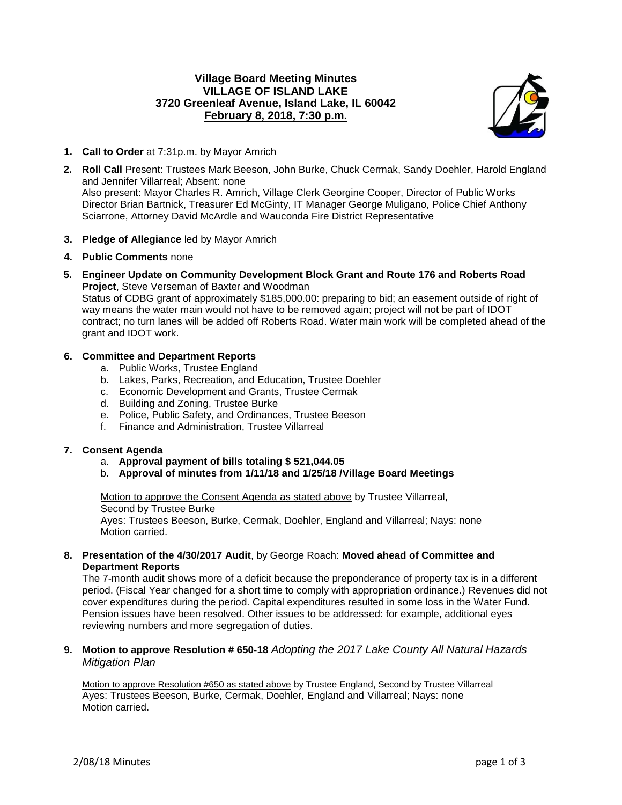# **Village Board Meeting Minutes VILLAGE OF ISLAND LAKE 3720 Greenleaf Avenue, Island Lake, IL 60042 February 8, 2018, 7:30 p.m.**



- **1. Call to Order** at 7:31p.m. by Mayor Amrich
- **2. Roll Call** Present: Trustees Mark Beeson, John Burke, Chuck Cermak, Sandy Doehler, Harold England and Jennifer Villarreal; Absent: none Also present: Mayor Charles R. Amrich, Village Clerk Georgine Cooper, Director of Public Works Director Brian Bartnick, Treasurer Ed McGinty, IT Manager George Muligano, Police Chief Anthony Sciarrone, Attorney David McArdle and Wauconda Fire District Representative
- **3. Pledge of Allegiance** led by Mayor Amrich
- **4. Public Comments** none
- **5. Engineer Update on Community Development Block Grant and Route 176 and Roberts Road Project**, Steve Verseman of Baxter and Woodman

Status of CDBG grant of approximately \$185,000.00: preparing to bid; an easement outside of right of way means the water main would not have to be removed again; project will not be part of IDOT contract; no turn lanes will be added off Roberts Road. Water main work will be completed ahead of the grant and IDOT work.

# **6. Committee and Department Reports**

- a. Public Works, Trustee England
- b. Lakes, Parks, Recreation, and Education, Trustee Doehler
- c. Economic Development and Grants, Trustee Cermak
- d. Building and Zoning, Trustee Burke
- e. Police, Public Safety, and Ordinances, Trustee Beeson
- f. Finance and Administration, Trustee Villarreal

# **7. Consent Agenda**

- a. **Approval payment of bills totaling \$ 521,044.05**
- b. **Approval of minutes from 1/11/18 and 1/25/18 /Village Board Meetings**

Motion to approve the Consent Agenda as stated above by Trustee Villarreal, Second by Trustee Burke Ayes: Trustees Beeson, Burke, Cermak, Doehler, England and Villarreal; Nays: none Motion carried.

# **8. Presentation of the 4/30/2017 Audit**, by George Roach: **Moved ahead of Committee and Department Reports**

The 7-month audit shows more of a deficit because the preponderance of property tax is in a different period. (Fiscal Year changed for a short time to comply with appropriation ordinance.) Revenues did not cover expenditures during the period. Capital expenditures resulted in some loss in the Water Fund. Pension issues have been resolved. Other issues to be addressed: for example, additional eyes reviewing numbers and more segregation of duties.

**9. Motion to approve Resolution # 650-18** *Adopting the 2017 Lake County All Natural Hazards Mitigation Plan*

Motion to approve Resolution #650 as stated above by Trustee England, Second by Trustee Villarreal Ayes: Trustees Beeson, Burke, Cermak, Doehler, England and Villarreal; Nays: none Motion carried.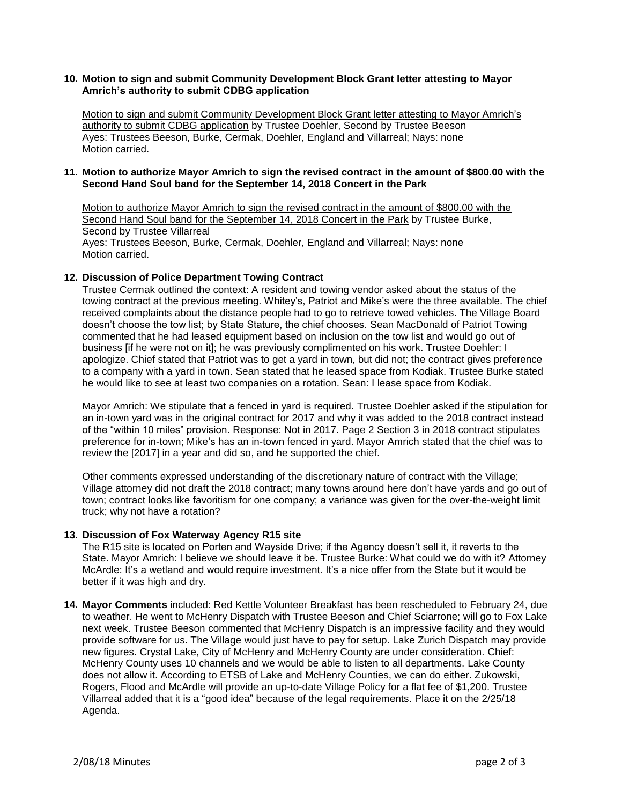# **10. Motion to sign and submit Community Development Block Grant letter attesting to Mayor Amrich's authority to submit CDBG application**

Motion to sign and submit Community Development Block Grant letter attesting to Mayor Amrich's authority to submit CDBG application by Trustee Doehler, Second by Trustee Beeson Ayes: Trustees Beeson, Burke, Cermak, Doehler, England and Villarreal; Nays: none Motion carried.

# **11. Motion to authorize Mayor Amrich to sign the revised contract in the amount of \$800.00 with the Second Hand Soul band for the September 14, 2018 Concert in the Park**

Motion to authorize Mayor Amrich to sign the revised contract in the amount of \$800.00 with the Second Hand Soul band for the September 14, 2018 Concert in the Park by Trustee Burke, Second by Trustee Villarreal Ayes: Trustees Beeson, Burke, Cermak, Doehler, England and Villarreal; Nays: none Motion carried.

# **12. Discussion of Police Department Towing Contract**

Trustee Cermak outlined the context: A resident and towing vendor asked about the status of the towing contract at the previous meeting. Whitey's, Patriot and Mike's were the three available. The chief received complaints about the distance people had to go to retrieve towed vehicles. The Village Board doesn't choose the tow list; by State Stature, the chief chooses. Sean MacDonald of Patriot Towing commented that he had leased equipment based on inclusion on the tow list and would go out of business [if he were not on it]; he was previously complimented on his work. Trustee Doehler: I apologize. Chief stated that Patriot was to get a yard in town, but did not; the contract gives preference to a company with a yard in town. Sean stated that he leased space from Kodiak. Trustee Burke stated he would like to see at least two companies on a rotation. Sean: I lease space from Kodiak.

Mayor Amrich: We stipulate that a fenced in yard is required. Trustee Doehler asked if the stipulation for an in-town yard was in the original contract for 2017 and why it was added to the 2018 contract instead of the "within 10 miles" provision. Response: Not in 2017. Page 2 Section 3 in 2018 contract stipulates preference for in-town; Mike's has an in-town fenced in yard. Mayor Amrich stated that the chief was to review the [2017] in a year and did so, and he supported the chief.

Other comments expressed understanding of the discretionary nature of contract with the Village; Village attorney did not draft the 2018 contract; many towns around here don't have yards and go out of town; contract looks like favoritism for one company; a variance was given for the over-the-weight limit truck; why not have a rotation?

# **13. Discussion of Fox Waterway Agency R15 site**

The R15 site is located on Porten and Wayside Drive; if the Agency doesn't sell it, it reverts to the State. Mayor Amrich: I believe we should leave it be. Trustee Burke: What could we do with it? Attorney McArdle: It's a wetland and would require investment. It's a nice offer from the State but it would be better if it was high and dry.

**14. Mayor Comments** included: Red Kettle Volunteer Breakfast has been rescheduled to February 24, due to weather. He went to McHenry Dispatch with Trustee Beeson and Chief Sciarrone; will go to Fox Lake next week. Trustee Beeson commented that McHenry Dispatch is an impressive facility and they would provide software for us. The Village would just have to pay for setup. Lake Zurich Dispatch may provide new figures. Crystal Lake, City of McHenry and McHenry County are under consideration. Chief: McHenry County uses 10 channels and we would be able to listen to all departments. Lake County does not allow it. According to ETSB of Lake and McHenry Counties, we can do either. Zukowski, Rogers, Flood and McArdle will provide an up-to-date Village Policy for a flat fee of \$1,200. Trustee Villarreal added that it is a "good idea" because of the legal requirements. Place it on the 2/25/18 Agenda.